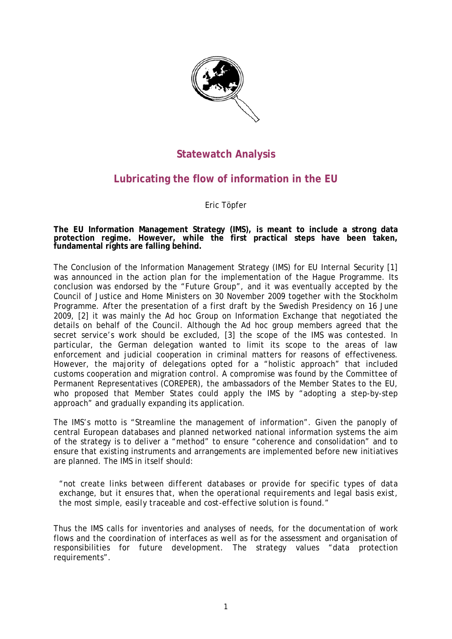

## **Statewatch Analysis**

# **Lubricating the flow of information in the EU**

Eric Töpfer

**The EU Information Management Strategy (IMS), is meant to include a strong data protection regime. However, while the first practical steps have been taken, fundamental rights are falling behind.** 

The Conclusion of the Information Management Strategy (IMS) for EU Internal Security [1] was announced in the action plan for the implementation of the Hague Programme. Its conclusion was endorsed by the "Future Group", and it was eventually accepted by the Council of Justice and Home Ministers on 30 November 2009 together with the Stockholm Programme. After the presentation of a first draft by the Swedish Presidency on 16 June 2009, [2] it was mainly the Ad hoc Group on Information Exchange that negotiated the details on behalf of the Council. Although the Ad hoc group members agreed that the secret service's work should be excluded, [3] the scope of the IMS was contested. In particular, the German delegation wanted to limit its scope to the areas of law enforcement and judicial cooperation in criminal matters for reasons of effectiveness. However, the majority of delegations opted for a "holistic approach" that included customs cooperation and migration control. A compromise was found by the Committee of Permanent Representatives (COREPER), the ambassadors of the Member States to the EU, who proposed that Member States could apply the IMS by "adopting a step-by-step approach" and gradually expanding its application.

The IMS's motto is "Streamline the management of information". Given the panoply of central European databases and planned networked national information systems the aim of the strategy is to deliver a "method" to ensure "coherence and consolidation" and to ensure that existing instruments and arrangements are implemented before new initiatives are planned. The IMS in itself should:

*"not create links between different databases or provide for specific types of data exchange, but it ensures that, when the operational requirements and legal basis exist, the most simple, easily traceable and cost-effective solution is found."* 

Thus the IMS calls for inventories and analyses of needs, for the documentation of work flows and the coordination of interfaces as well as for the assessment and organisation of responsibilities for future development. The strategy values "data protection requirements".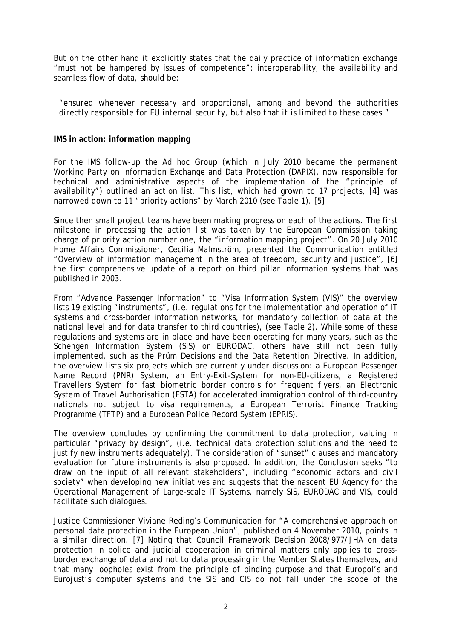But on the other hand it explicitly states that the daily practice of information exchange "must not be hampered by issues of competence": interoperability, the availability and seamless flow of data, should be:

*"ensured whenever necessary and proportional, among and beyond the authorities directly responsible for EU internal security, but also that it is limited to these cases."* 

#### **IMS in action: information mapping**

For the IMS follow-up the Ad hoc Group (which in July 2010 became the permanent Working Party on Information Exchange and Data Protection (DAPIX), now responsible for technical and administrative aspects of the implementation of the "principle of availability") outlined an action list. This list, which had grown to 17 projects, [4] was narrowed down to 11 "priority actions" by March 2010 (see Table 1). [5]

Since then small project teams have been making progress on each of the actions. The first milestone in processing the action list was taken by the European Commission taking charge of priority action number one, the "information mapping project". On 20 July 2010 Home Affairs Commissioner, Cecilia Malmström, presented the Communication entitled "Overview of information management in the area of freedom, security and justice", [6] the first comprehensive update of a report on third pillar information systems that was published in 2003.

From "Advance Passenger Information" to "Visa Information System (VIS)" the overview lists 19 existing "instruments", (i.e. regulations for the implementation and operation of IT systems and cross-border information networks, for mandatory collection of data at the national level and for data transfer to third countries), (see Table 2). While some of these regulations and systems are in place and have been operating for many years, such as the Schengen Information System (SIS) or EURODAC, others have still not been fully implemented, such as the Prüm Decisions and the Data Retention Directive. In addition, the overview lists six projects which are currently under discussion: a European Passenger Name Record (PNR) System, an Entry-Exit-System for non-EU-citizens, a Registered Travellers System for fast biometric border controls for frequent flyers, an Electronic System of Travel Authorisation (ESTA) for accelerated immigration control of third-country nationals not subject to visa requirements, a European Terrorist Finance Tracking Programme (TFTP) and a European Police Record System (EPRIS).

The overview concludes by confirming the commitment to data protection, valuing in particular "privacy by design", (i.e. technical data protection solutions and the need to justify new instruments adequately). The consideration of "sunset" clauses and mandatory evaluation for future instruments is also proposed. In addition, the Conclusion seeks "to draw on the input of all relevant stakeholders", including "economic actors and civil society" when developing new initiatives and suggests that the nascent EU Agency for the Operational Management of Large-scale IT Systems, namely SIS, EURODAC and VIS, could facilitate such dialogues.

Justice Commissioner Viviane Reding's Communication for "A comprehensive approach on personal data protection in the European Union", published on 4 November 2010, points in a similar direction. [7] Noting that Council Framework Decision 2008/977/JHA on data protection in police and judicial cooperation in criminal matters only applies to crossborder exchange of data and not to data processing in the Member States themselves, and that many loopholes exist from the principle of binding purpose and that Europol's and Eurojust's computer systems and the SIS and CIS do not fall under the scope of the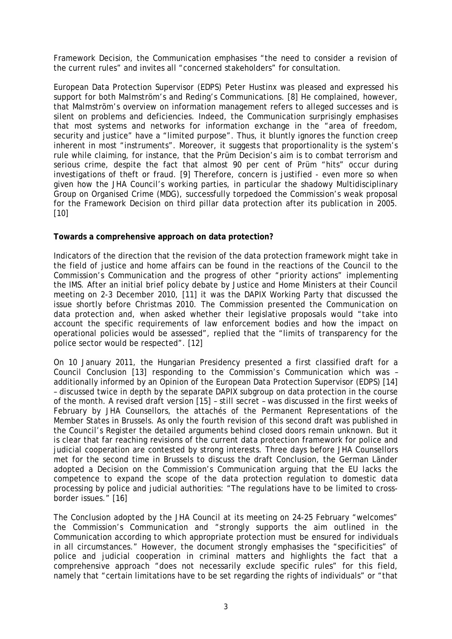Framework Decision, the Communication emphasises "the need to consider a revision of the current rules" and invites all "concerned stakeholders" for consultation.

European Data Protection Supervisor (EDPS) Peter Hustinx was pleased and expressed his support for both Malmström's and Reding's Communications. [8] He complained, however, that Malmström's overview on information management refers to alleged successes and is silent on problems and deficiencies. Indeed, the Communication surprisingly emphasises that most systems and networks for information exchange in the "area of freedom, security and justice" have a "limited purpose". Thus, it bluntly ignores the function creep inherent in most "instruments". Moreover, it suggests that proportionality is the system's rule while claiming, for instance, that the Prüm Decision's aim is to combat terrorism and serious crime, despite the fact that almost 90 per cent of Prüm "hits" occur during investigations of theft or fraud. [9] Therefore, concern is justified - even more so when given how the JHA Council's working parties, in particular the shadowy Multidisciplinary Group on Organised Crime (MDG), successfully torpedoed the Commission's weak proposal for the Framework Decision on third pillar data protection after its publication in 2005. [10]

## **Towards a comprehensive approach on data protection?**

Indicators of the direction that the revision of the data protection framework might take in the field of justice and home affairs can be found in the reactions of the Council to the Commission's Communication and the progress of other "priority actions" implementing the IMS. After an initial brief policy debate by Justice and Home Ministers at their Council meeting on 2-3 December 2010, [11] it was the DAPIX Working Party that discussed the issue shortly before Christmas 2010. The Commission presented the Communication on data protection and, when asked whether their legislative proposals would "take into account the specific requirements of law enforcement bodies and how the impact on operational policies would be assessed", replied that the "limits of transparency for the police sector would be respected". [12]

On 10 January 2011, the Hungarian Presidency presented a first classified draft for a Council Conclusion [13] responding to the Commission's Communication which was – additionally informed by an Opinion of the European Data Protection Supervisor (EDPS) [14] – discussed twice in depth by the separate DAPIX subgroup on data protection in the course of the month. A revised draft version [15] – still secret – was discussed in the first weeks of February by JHA Counsellors, the attachés of the Permanent Representations of the Member States in Brussels. As only the fourth revision of this second draft was published in the Council's Register the detailed arguments behind closed doors remain unknown. But it is clear that far reaching revisions of the current data protection framework for police and judicial cooperation are contested by strong interests. Three days before JHA Counsellors met for the second time in Brussels to discuss the draft Conclusion, the German *Länder* adopted a Decision on the Commission's Communication arguing that the EU lacks the competence to expand the scope of the data protection regulation to domestic data processing by police and judicial authorities: "The regulations have to be limited to crossborder issues." [16]

The Conclusion adopted by the JHA Council at its meeting on 24-25 February "welcomes" the Commission's Communication and "strongly supports the aim outlined in the Communication according to which appropriate protection must be ensured for individuals in all circumstances." However, the document strongly emphasises the "specificities" of police and judicial cooperation in criminal matters and highlights the fact that a comprehensive approach "does not necessarily exclude specific rules" for this field, namely that "certain limitations have to be set regarding the rights of individuals" or "that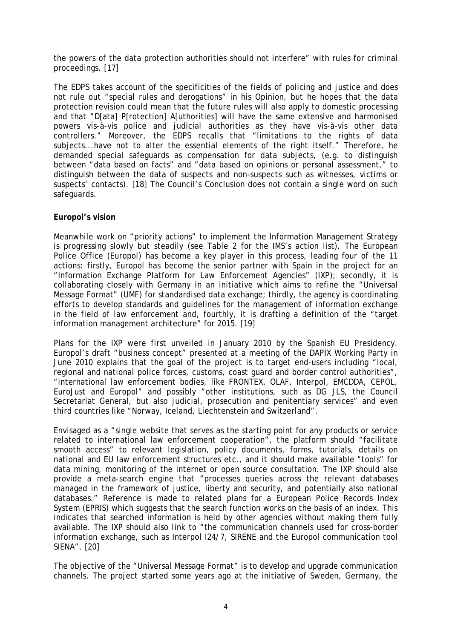the powers of the data protection authorities should not interfere" with rules for criminal proceedings. [17]

The EDPS takes account of the specificities of the fields of policing and justice and does not rule out "special rules and derogations" in his Opinion, but he hopes that the data protection revision could mean that the future rules will also apply to domestic processing and that "D[ata] P[rotection] A[uthorities] will have the same extensive and harmonised powers vis-à-vis police and judicial authorities as they have vis-à-vis other data controllers." Moreover, the EDPS recalls that "limitations to the rights of data subjects...have not to alter the essential elements of the right itself." Therefore, he demanded special safeguards as compensation for data subjects, (e.g. to distinguish between "data based on facts" and "data based on opinions or personal assessment," to distinguish between the data of suspects and non-suspects such as witnesses, victims or suspects' contacts). [18] The Council's Conclusion does not contain a single word on such safeguards.

#### **Europol's vision**

Meanwhile work on "priority actions" to implement the Information Management Strategy is progressing slowly but steadily (see Table 2 for the IMS's action list). The European Police Office (Europol) has become a key player in this process, leading four of the 11 actions: firstly, Europol has become the senior partner with Spain in the project for an "Information Exchange Platform for Law Enforcement Agencies" (IXP); secondly, it is collaborating closely with Germany in an initiative which aims to refine the "Universal Message Format" (UMF) for standardised data exchange; thirdly, the agency is coordinating efforts to develop standards and guidelines for the management of information exchange in the field of law enforcement and, fourthly, it is drafting a definition of the "target information management architecture" for 2015. [19]

Plans for the IXP were first unveiled in January 2010 by the Spanish EU Presidency. Europol's draft "business concept" presented at a meeting of the DAPIX Working Party in June 2010 explains that the goal of the project is to target end-users including "local, regional and national police forces, customs, coast guard and border control authorities", "international law enforcement bodies, like FRONTEX, OLAF, Interpol, EMCDDA, CEPOL, EuroJust and Europol" and possibly "other institutions, such as DG JLS, the Council Secretariat General, but also judicial, prosecution and penitentiary services" and even third countries like "Norway, Iceland, Liechtenstein and Switzerland".

Envisaged as a "single website that serves as the starting point for any products or service related to international law enforcement cooperation", the platform should "facilitate smooth access" to relevant legislation, policy documents, forms, tutorials, details on national and EU law enforcement structures etc., and it should make available "tools" for data mining, monitoring of the internet or open source consultation. The IXP should also provide a meta-search engine that "processes queries across the relevant databases managed in the framework of justice, liberty and security, and potentially also national databases." Reference is made to related plans for a European Police Records Index System (EPRIS) which suggests that the search function works on the basis of an index. This indicates that searched information is held by other agencies without making them fully available. The IXP should also link to "the communication channels used for cross-border information exchange, such as Interpol I24/7, SIRENE and the Europol communication tool SIENA". [20]

The objective of the "Universal Message Format" is to develop and upgrade communication channels. The project started some years ago at the initiative of Sweden, Germany, the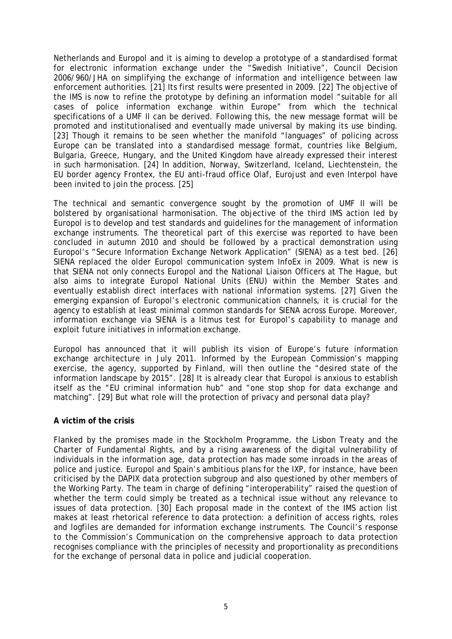Netherlands and Europol and it is aiming to develop a prototype of a standardised format for electronic information exchange under the "Swedish Initiative", Council Decision 2006/960/JHA on simplifying the exchange of information and intelligence between law enforcement authorities. [21] Its first results were presented in 2009. [22] The objective of the IMS is now to refine the prototype by defining an information model "suitable for all cases of police information exchange within Europe" from which the technical specifications of a UMF II can be derived. Following this, the new message format will be promoted and institutionalised and eventually made universal by making its use binding. [23] Though it remains to be seen whether the manifold "languages" of policing across Europe can be translated into a standardised message format, countries like Belgium, Bulgaria, Greece, Hungary, and the United Kingdom have already expressed their interest in such harmonisation. [24] In addition, Norway, Switzerland, Iceland, Liechtenstein, the EU border agency Frontex, the EU anti-fraud office Olaf, Eurojust and even Interpol have been invited to join the process. [25]

The technical and semantic convergence sought by the promotion of UMF II will be bolstered by organisational harmonisation. The objective of the third IMS action led by Europol is to develop and test standards and guidelines for the management of information exchange instruments. The theoretical part of this exercise was reported to have been concluded in autumn 2010 and should be followed by a practical demonstration using Europol's "Secure Information Exchange Network Application" (SIENA) as a test bed. [26] SIENA replaced the older Europol communication system InfoEx in 2009. What is new is that SIENA not only connects Europol and the National Liaison Officers at The Hague, but also aims to integrate Europol National Units (ENU) within the Member States and eventually establish direct interfaces with national information systems. [27] Given the emerging expansion of Europol's electronic communication channels, it is crucial for the agency to establish at least minimal common standards for SIENA across Europe. Moreover, information exchange via SIENA is a litmus test for Europol's capability to manage and exploit future initiatives in information exchange.

Europol has announced that it will publish its vision of Europe's future information exchange architecture in July 2011. Informed by the European Commission's mapping exercise, the agency, supported by Finland, will then outline the "desired state of the information landscape by 2015". [28] It is already clear that Europol is anxious to establish itself as the "EU criminal information hub" and "one stop shop for data exchange and matching". [29] But what role will the protection of privacy and personal data play?

## **A victim of the crisis**

Flanked by the promises made in the Stockholm Programme, the Lisbon Treaty and the Charter of Fundamental Rights, and by a rising awareness of the digital vulnerability of individuals in the information age, data protection has made some inroads in the areas of police and justice. Europol and Spain's ambitious plans for the IXP, for instance, have been criticised by the DAPIX data protection subgroup and also questioned by other members of the Working Party. The team in charge of defining "interoperability" raised the question of whether the term could simply be treated as a technical issue without any relevance to issues of data protection. [30] Each proposal made in the context of the IMS action list makes at least rhetorical reference to data protection: a definition of access rights, roles and logfiles are demanded for information exchange instruments. The Council's response to the Commission's Communication on the comprehensive approach to data protection recognises compliance with the principles of necessity and proportionality as preconditions for the exchange of personal data in police and judicial cooperation.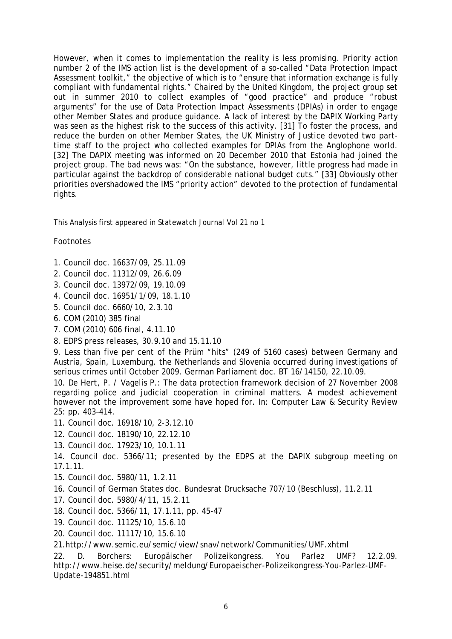However, when it comes to implementation the reality is less promising. Priority action number 2 of the IMS action list is the development of a so-called "Data Protection Impact Assessment toolkit," the objective of which is to "ensure that information exchange is fully compliant with fundamental rights." Chaired by the United Kingdom, the project group set out in summer 2010 to collect examples of "good practice" and produce "robust arguments" for the use of Data Protection Impact Assessments (DPIAs) in order to engage other Member States and produce guidance. A lack of interest by the DAPIX Working Party was seen as the highest risk to the success of this activity. [31] To foster the process, and reduce the burden on other Member States, the UK Ministry of Justice devoted two parttime staff to the project who collected examples for DPIAs from the Anglophone world. [32] The DAPIX meeting was informed on 20 December 2010 that Estonia had joined the project group. The bad news was: "On the substance, however, little progress had made in particular against the backdrop of considerable national budget cuts." [33] Obviously other priorities overshadowed the IMS "priority action" devoted to the protection of fundamental rights.

This Analysis first appeared in *Statewatch Journal* Vol 21 no 1

## Footnotes

- 1. Council doc. 16637/09, 25.11.09
- 2. Council doc. 11312/09, 26.6.09
- 3. Council doc. 13972/09, 19.10.09
- 4. Council doc. 16951/1/09, 18.1.10
- 5. Council doc. 6660/10, 2.3.10
- 6. COM (2010) 385 final
- 7. COM (2010) 606 final, 4.11.10
- 8. EDPS press releases, 30.9.10 and 15.11.10

9. Less than five per cent of the Prüm "hits" (249 of 5160 cases) between Germany and Austria, Spain, Luxemburg, the Netherlands and Slovenia occurred during investigations of serious crimes until October 2009. German Parliament doc. BT 16/14150, 22.10.09.

10. De Hert, P. / Vagelis P.: The data protection framework decision of 27 November 2008 regarding police and judicial cooperation in criminal matters. A modest achievement however not the improvement some have hoped for. In: Computer Law & Security Review 25: pp. 403–414.

- 11. Council doc. 16918/10, 2-3.12.10
- 12. Council doc. 18190/10, 22.12.10
- 13. Council doc. 17923/10, 10.1.11
- 14. Council doc. 5366/11; presented by the EDPS at the DAPIX subgroup meeting on 17.1.11.
- 15. Council doc. 5980/11, 1.2.11
- 16. Council of German States doc. Bundesrat Drucksache 707/10 (Beschluss), 11.2.11
- 17. Council doc. 5980/4/11, 15.2.11
- 18. Council doc. 5366/11, 17.1.11, pp. 45-47
- 19. Council doc. 11125/10, 15.6.10
- 20. Council doc. 11117/10, 15.6.10
- 21.http://www.semic.eu/semic/view/snav/network/Communities/UMF.xhtml

22. D. Borchers: Europäischer Polizeikongress. You Parlez UMF? 12.2.09. http://www.heise.de/security/meldung/Europaeischer-Polizeikongress-You-Parlez-UMF-Update-194851.html